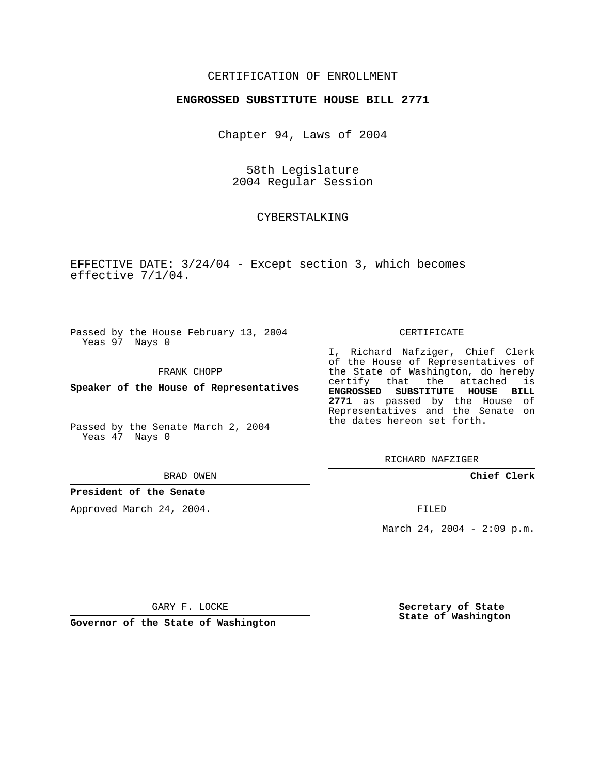# CERTIFICATION OF ENROLLMENT

### **ENGROSSED SUBSTITUTE HOUSE BILL 2771**

Chapter 94, Laws of 2004

58th Legislature 2004 Regular Session

## CYBERSTALKING

EFFECTIVE DATE: 3/24/04 - Except section 3, which becomes effective 7/1/04.

Passed by the House February 13, 2004 Yeas 97 Nays 0

FRANK CHOPP

**Speaker of the House of Representatives**

Passed by the Senate March 2, 2004 Yeas 47 Nays 0

#### BRAD OWEN

## **President of the Senate**

Approved March 24, 2004.

#### CERTIFICATE

I, Richard Nafziger, Chief Clerk of the House of Representatives of the State of Washington, do hereby certify that the attached is **ENGROSSED SUBSTITUTE HOUSE BILL 2771** as passed by the House of Representatives and the Senate on the dates hereon set forth.

RICHARD NAFZIGER

**Chief Clerk**

FILED

March 24, 2004 - 2:09 p.m.

GARY F. LOCKE

**Governor of the State of Washington**

**Secretary of State State of Washington**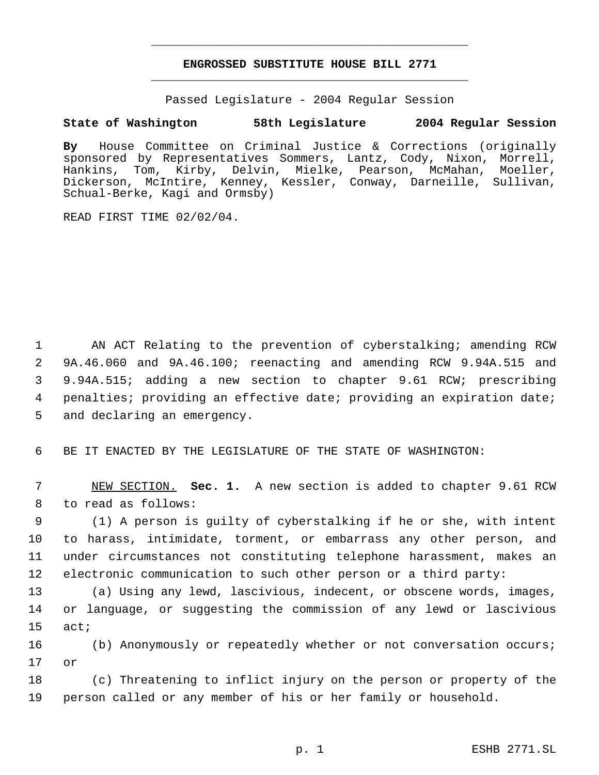# **ENGROSSED SUBSTITUTE HOUSE BILL 2771** \_\_\_\_\_\_\_\_\_\_\_\_\_\_\_\_\_\_\_\_\_\_\_\_\_\_\_\_\_\_\_\_\_\_\_\_\_\_\_\_\_\_\_\_\_

\_\_\_\_\_\_\_\_\_\_\_\_\_\_\_\_\_\_\_\_\_\_\_\_\_\_\_\_\_\_\_\_\_\_\_\_\_\_\_\_\_\_\_\_\_

Passed Legislature - 2004 Regular Session

# **State of Washington 58th Legislature 2004 Regular Session**

**By** House Committee on Criminal Justice & Corrections (originally sponsored by Representatives Sommers, Lantz, Cody, Nixon, Morrell, Hankins, Tom, Kirby, Delvin, Mielke, Pearson, McMahan, Moeller, Dickerson, McIntire, Kenney, Kessler, Conway, Darneille, Sullivan, Schual-Berke, Kagi and Ormsby)

READ FIRST TIME 02/02/04.

 AN ACT Relating to the prevention of cyberstalking; amending RCW 9A.46.060 and 9A.46.100; reenacting and amending RCW 9.94A.515 and 9.94A.515; adding a new section to chapter 9.61 RCW; prescribing penalties; providing an effective date; providing an expiration date; and declaring an emergency.

BE IT ENACTED BY THE LEGISLATURE OF THE STATE OF WASHINGTON:

 NEW SECTION. **Sec. 1.** A new section is added to chapter 9.61 RCW to read as follows:

 (1) A person is guilty of cyberstalking if he or she, with intent to harass, intimidate, torment, or embarrass any other person, and under circumstances not constituting telephone harassment, makes an electronic communication to such other person or a third party:

 (a) Using any lewd, lascivious, indecent, or obscene words, images, or language, or suggesting the commission of any lewd or lascivious act;

 (b) Anonymously or repeatedly whether or not conversation occurs; or

 (c) Threatening to inflict injury on the person or property of the person called or any member of his or her family or household.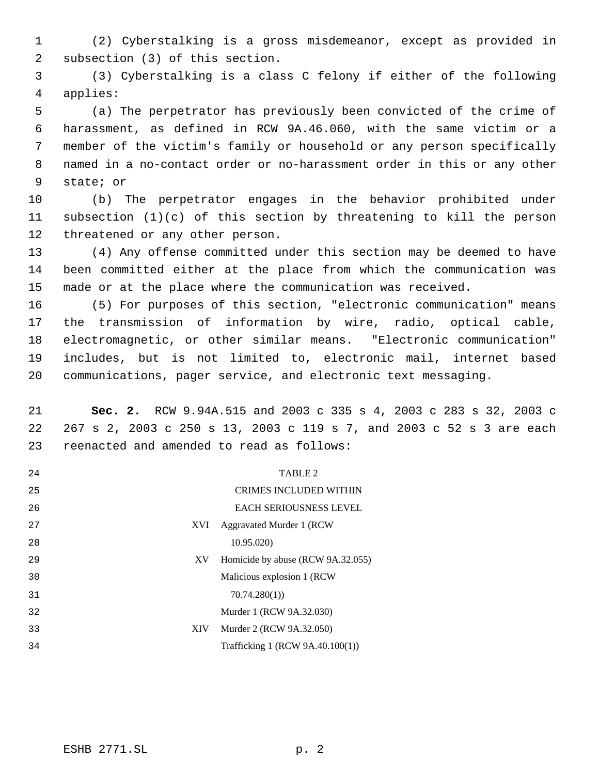(2) Cyberstalking is a gross misdemeanor, except as provided in subsection (3) of this section.

 (3) Cyberstalking is a class C felony if either of the following applies:

 (a) The perpetrator has previously been convicted of the crime of harassment, as defined in RCW 9A.46.060, with the same victim or a member of the victim's family or household or any person specifically named in a no-contact order or no-harassment order in this or any other state; or

 (b) The perpetrator engages in the behavior prohibited under subsection (1)(c) of this section by threatening to kill the person threatened or any other person.

 (4) Any offense committed under this section may be deemed to have been committed either at the place from which the communication was made or at the place where the communication was received.

 (5) For purposes of this section, "electronic communication" means the transmission of information by wire, radio, optical cable, electromagnetic, or other similar means. "Electronic communication" includes, but is not limited to, electronic mail, internet based communications, pager service, and electronic text messaging.

 **Sec. 2.** RCW 9.94A.515 and 2003 c 335 s 4, 2003 c 283 s 32, 2003 c 267 s 2, 2003 c 250 s 13, 2003 c 119 s 7, and 2003 c 52 s 3 are each reenacted and amended to read as follows:

| 24 |     | <b>TABLE 2</b>                    |
|----|-----|-----------------------------------|
| 25 |     | <b>CRIMES INCLUDED WITHIN</b>     |
| 26 |     | <b>EACH SERIOUSNESS LEVEL</b>     |
| 27 | XVI | Aggravated Murder 1 (RCW)         |
| 28 |     | 10.95.020)                        |
| 29 | XV  | Homicide by abuse (RCW 9A.32.055) |
| 30 |     | Malicious explosion 1 (RCW)       |
| 31 |     | 70.74.280(1)                      |
| 32 |     | Murder 1 (RCW 9A.32.030)          |
| 33 | XIV | Murder 2 (RCW 9A.32.050)          |
| 34 |     | Trafficking 1 (RCW 9A.40.100(1))  |
|    |     |                                   |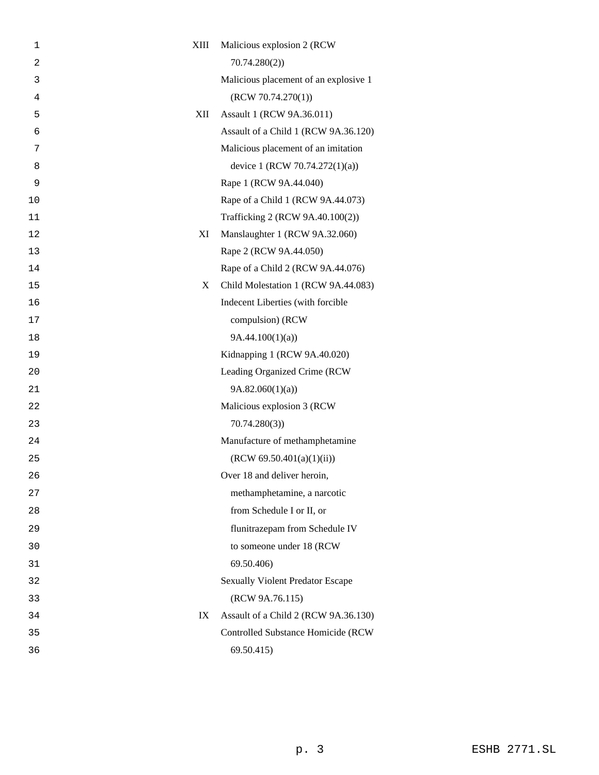| 1  | XIII<br>Malicious explosion 2 (RCW) |                                         |
|----|-------------------------------------|-----------------------------------------|
| 2  | 70.74.280(2)                        |                                         |
| 3  |                                     | Malicious placement of an explosive 1   |
| 4  | (RCW 70.74.270(1))                  |                                         |
| 5  | XII<br>Assault 1 (RCW 9A.36.011)    |                                         |
| 6  |                                     | Assault of a Child 1 (RCW 9A.36.120)    |
| 7  |                                     | Malicious placement of an imitation     |
| 8  |                                     | device 1 (RCW 70.74.272(1)(a))          |
| 9  | Rape 1 (RCW 9A.44.040)              |                                         |
| 10 |                                     | Rape of a Child 1 (RCW 9A.44.073)       |
| 11 |                                     | Trafficking 2 (RCW 9A.40.100(2))        |
| 12 | ΧI                                  | Manslaughter 1 (RCW 9A.32.060)          |
| 13 | Rape 2 (RCW 9A.44.050)              |                                         |
| 14 |                                     | Rape of a Child 2 (RCW 9A.44.076)       |
| 15 | X                                   | Child Molestation 1 (RCW 9A.44.083)     |
| 16 |                                     | Indecent Liberties (with forcible       |
| 17 | compulsion) (RCW                    |                                         |
| 18 | 9A.44.100(1)(a)                     |                                         |
| 19 |                                     | Kidnapping 1 (RCW 9A.40.020)            |
| 20 |                                     | Leading Organized Crime (RCW            |
| 21 | 9A.82.060(1)(a)                     |                                         |
| 22 | Malicious explosion 3 (RCW          |                                         |
| 23 | 70.74.280(3)                        |                                         |
| 24 |                                     | Manufacture of methamphetamine          |
| 25 | (RCW 69.50.401(a)(1)(ii))           |                                         |
| 26 | Over 18 and deliver heroin,         |                                         |
| 27 |                                     | methamphetamine, a narcotic             |
| 28 | from Schedule I or II, or           |                                         |
| 29 |                                     | flunitrazepam from Schedule IV          |
| 30 |                                     | to someone under 18 (RCW                |
| 31 | 69.50.406)                          |                                         |
| 32 |                                     | <b>Sexually Violent Predator Escape</b> |
| 33 | (RCW 9A.76.115)                     |                                         |
| 34 | IX                                  | Assault of a Child 2 (RCW 9A.36.130)    |
| 35 |                                     | Controlled Substance Homicide (RCW      |
| 36 | 69.50.415)                          |                                         |
|    |                                     |                                         |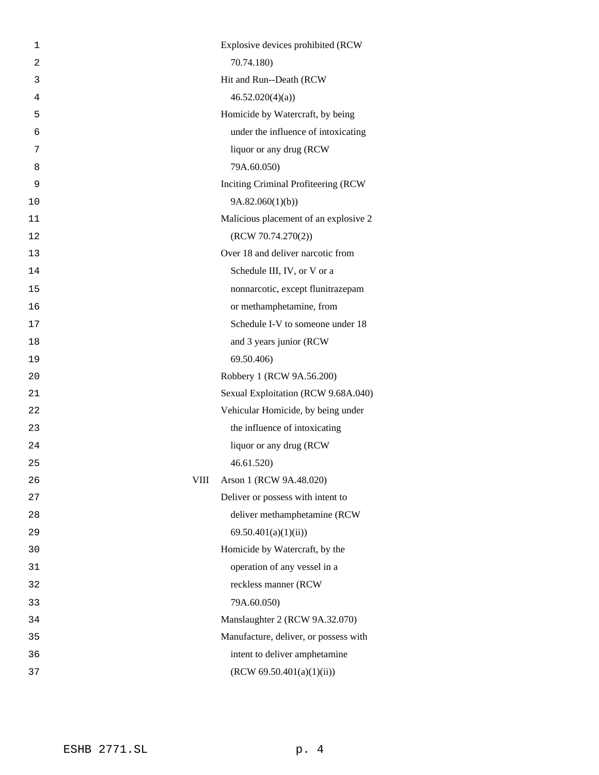| 1              | Explosive devices prohibited (RCW      |
|----------------|----------------------------------------|
| $\overline{2}$ | 70.74.180)                             |
| 3              | Hit and Run--Death (RCW                |
| 4              | 46.52.020(4)(a)                        |
| 5              | Homicide by Watercraft, by being       |
| 6              | under the influence of intoxicating    |
| 7              | liquor or any drug (RCW                |
| 8              | 79A.60.050)                            |
| 9              | Inciting Criminal Profiteering (RCW    |
| 10             | 9A.82.060(1)(b)                        |
| 11             | Malicious placement of an explosive 2  |
| 12             | (RCW 70.74.270(2))                     |
| 13             | Over 18 and deliver narcotic from      |
| 14             | Schedule III, IV, or V or a            |
| 15             | nonnarcotic, except flunitrazepam      |
| 16             | or methamphetamine, from               |
| 17             | Schedule I-V to someone under 18       |
| 18             | and 3 years junior (RCW)               |
| 19             | 69.50.406)                             |
| 20             | Robbery 1 (RCW 9A.56.200)              |
| 21             | Sexual Exploitation (RCW 9.68A.040)    |
| 22             | Vehicular Homicide, by being under     |
| 23             | the influence of intoxicating          |
| 24             | liquor or any drug (RCW                |
| 25             | 46.61.520                              |
| 26             | Arson 1 (RCW 9A.48.020)<br><b>VIII</b> |
| 27             | Deliver or possess with intent to      |
| 28             | deliver methamphetamine (RCW           |
| 29             | 69.50.401(a)(1)(ii)                    |
| 30             | Homicide by Watercraft, by the         |
| 31             | operation of any vessel in a           |
| 32             | reckless manner (RCW                   |
| 33             | 79A.60.050)                            |
| 34             | Manslaughter 2 (RCW 9A.32.070)         |
| 35             | Manufacture, deliver, or possess with  |
| 36             | intent to deliver amphetamine          |
| 37             | (RCW 69.50.401(a)(1)(ii))              |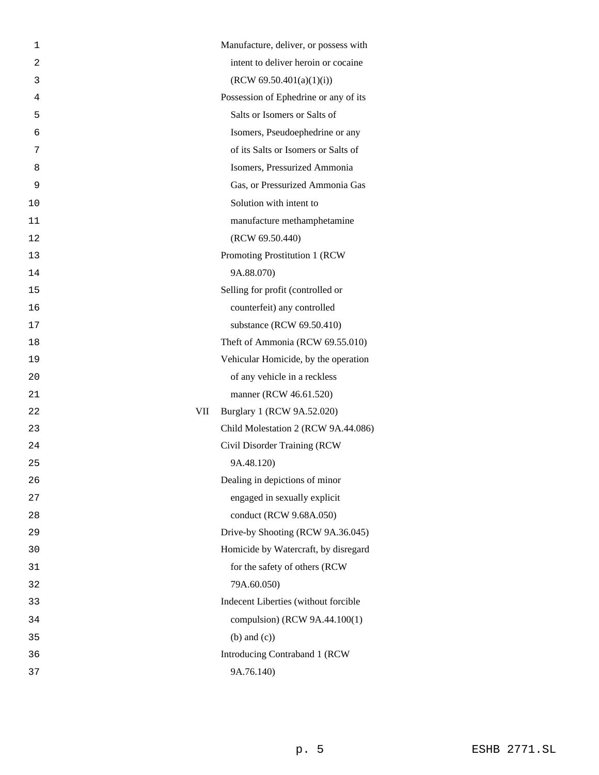| 1              | Manufacture, deliver, or possess with |
|----------------|---------------------------------------|
| $\overline{2}$ | intent to deliver heroin or cocaine   |
| 3              | (RCW 69.50.401(a)(1)(i))              |
| 4              | Possession of Ephedrine or any of its |
| 5              | Salts or Isomers or Salts of          |
| 6              | Isomers, Pseudoephedrine or any       |
| 7              | of its Salts or Isomers or Salts of   |
| 8              | Isomers, Pressurized Ammonia          |
| 9              | Gas, or Pressurized Ammonia Gas       |
| 10             | Solution with intent to               |
| 11             | manufacture methamphetamine           |
| 12             | (RCW 69.50.440)                       |
| 13             | Promoting Prostitution 1 (RCW         |
| 14             | 9A.88.070)                            |
| 15             | Selling for profit (controlled or     |
| 16             | counterfeit) any controlled           |
| 17             | substance (RCW 69.50.410)             |
| 18             | Theft of Ammonia (RCW 69.55.010)      |
| 19             | Vehicular Homicide, by the operation  |
| 20             | of any vehicle in a reckless          |
| 21             | manner (RCW 46.61.520)                |
| 22             | Burglary 1 (RCW 9A.52.020)<br>VII     |
| 23             | Child Molestation 2 (RCW 9A.44.086)   |
| 24             | Civil Disorder Training (RCW          |
| 25             | 9A.48.120)                            |
| 26             | Dealing in depictions of minor        |
| 27             | engaged in sexually explicit          |
| 28             | conduct (RCW 9.68A.050)               |
| 29             | Drive-by Shooting (RCW 9A.36.045)     |
| 30             | Homicide by Watercraft, by disregard  |
| 31             | for the safety of others (RCW         |
| 32             | 79A.60.050)                           |
| 33             | Indecent Liberties (without forcible  |
| 34             | compulsion) (RCW 9A.44.100(1)         |
| 35             | $(b)$ and $(c)$ )                     |
| 36             | Introducing Contraband 1 (RCW         |
| 37             | 9A.76.140)                            |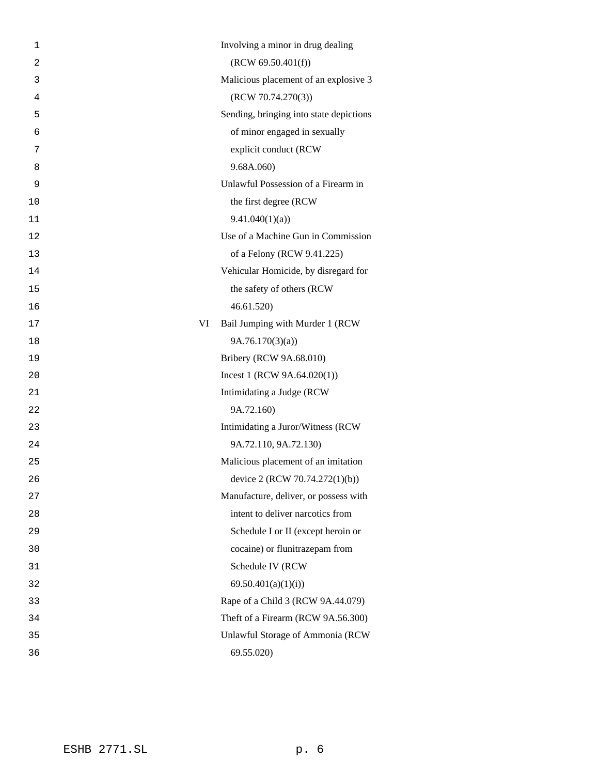| 1              | Involving a minor in drug dealing       |
|----------------|-----------------------------------------|
| $\overline{2}$ | (RCW 69.50.401(f))                      |
| 3              | Malicious placement of an explosive 3   |
| 4              | (RCW 70.74.270(3))                      |
| 5              | Sending, bringing into state depictions |
| 6              | of minor engaged in sexually            |
| 7              | explicit conduct (RCW                   |
| 8              | 9.68A.060)                              |
| 9              | Unlawful Possession of a Firearm in     |
| 10             | the first degree (RCW                   |
| 11             | 9.41.040(1)(a)                          |
| 12             | Use of a Machine Gun in Commission      |
| 13             | of a Felony (RCW 9.41.225)              |
| 14             | Vehicular Homicide, by disregard for    |
| 15             | the safety of others (RCW               |
| 16             | 46.61.520                               |
| 17             | VI<br>Bail Jumping with Murder 1 (RCW   |
| 18             | 9A.76.170(3)(a)                         |
| 19             | Bribery (RCW 9A.68.010)                 |
| 20             | Incest 1 (RCW $9A.64.020(1)$ )          |
| 21             | Intimidating a Judge (RCW               |
| 22             | 9A.72.160)                              |
| 23             | Intimidating a Juror/Witness (RCW       |
| 24             | 9A.72.110, 9A.72.130)                   |
| 25             | Malicious placement of an imitation     |
| 26             | device 2 (RCW 70.74.272(1)(b))          |
| 27             | Manufacture, deliver, or possess with   |
| 28             | intent to deliver narcotics from        |
| 29             | Schedule I or II (except heroin or      |
| 30             | cocaine) or flunitrazepam from          |
| 31             | Schedule IV (RCW                        |
| 32             | 69.50.401(a)(1)(i)                      |
| 33             | Rape of a Child 3 (RCW 9A.44.079)       |
| 34             | Theft of a Firearm (RCW 9A.56.300)      |
| 35             | Unlawful Storage of Ammonia (RCW        |
| 36             | 69.55.020)                              |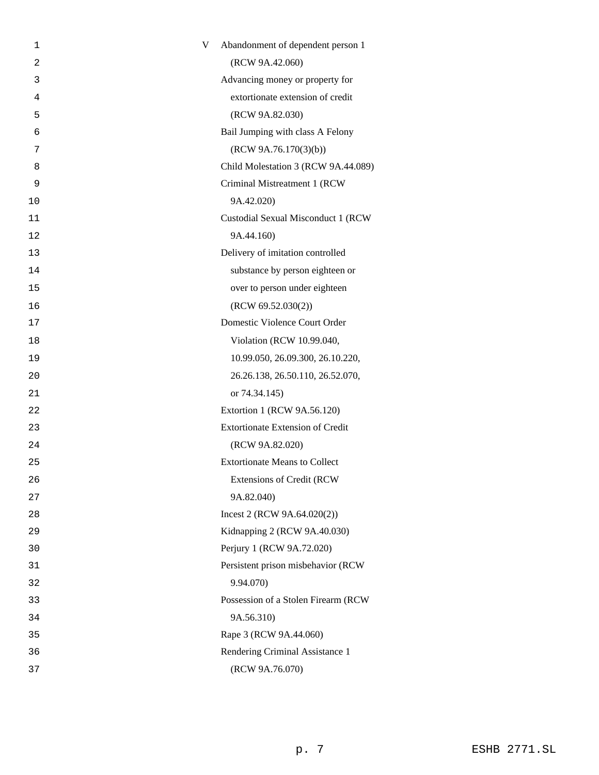| 1  | V | Abandonment of dependent person 1       |
|----|---|-----------------------------------------|
| 2  |   | (RCW 9A.42.060)                         |
| 3  |   | Advancing money or property for         |
| 4  |   | extortionate extension of credit        |
| 5  |   | (RCW 9A.82.030)                         |
| 6  |   | Bail Jumping with class A Felony        |
| 7  |   | (RCW 9A.76.170(3)(b))                   |
| 8  |   | Child Molestation 3 (RCW 9A.44.089)     |
| 9  |   | Criminal Mistreatment 1 (RCW            |
| 10 |   | 9A.42.020)                              |
| 11 |   | Custodial Sexual Misconduct 1 (RCW      |
| 12 |   | 9A.44.160)                              |
| 13 |   | Delivery of imitation controlled        |
| 14 |   | substance by person eighteen or         |
| 15 |   | over to person under eighteen           |
| 16 |   | (RCW 69.52.030(2))                      |
| 17 |   | Domestic Violence Court Order           |
| 18 |   | Violation (RCW 10.99.040,               |
| 19 |   | 10.99.050, 26.09.300, 26.10.220,        |
| 20 |   | 26.26.138, 26.50.110, 26.52.070,        |
| 21 |   | or 74.34.145)                           |
| 22 |   | Extortion 1 (RCW 9A.56.120)             |
| 23 |   | <b>Extortionate Extension of Credit</b> |
| 24 |   | (RCW 9A.82.020)                         |
| 25 |   | <b>Extortionate Means to Collect</b>    |
| 26 |   | <b>Extensions of Credit (RCW</b>        |
| 27 |   | 9A.82.040)                              |
| 28 |   | Incest 2 (RCW 9A.64.020(2))             |
| 29 |   | Kidnapping 2 (RCW 9A.40.030)            |
| 30 |   | Perjury 1 (RCW 9A.72.020)               |
| 31 |   | Persistent prison misbehavior (RCW      |
| 32 |   | 9.94.070)                               |
| 33 |   | Possession of a Stolen Firearm (RCW     |
| 34 |   | 9A.56.310)                              |
| 35 |   | Rape 3 (RCW 9A.44.060)                  |
| 36 |   | Rendering Criminal Assistance 1         |
| 37 |   | (RCW 9A.76.070)                         |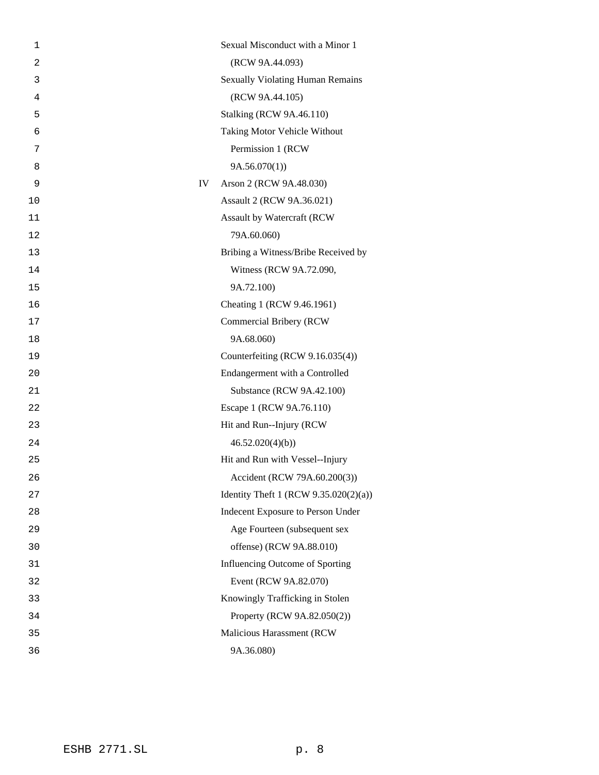| 1              |    | Sexual Misconduct with a Minor 1         |
|----------------|----|------------------------------------------|
| $\overline{2}$ |    | (RCW 9A.44.093)                          |
| 3              |    | <b>Sexually Violating Human Remains</b>  |
| 4              |    | (RCW 9A.44.105)                          |
| 5              |    | <b>Stalking (RCW 9A.46.110)</b>          |
| 6              |    | Taking Motor Vehicle Without             |
| 7              |    | Permission 1 (RCW                        |
| 8              |    | 9A.56.070(1)                             |
| 9              | IV | Arson 2 (RCW 9A.48.030)                  |
| 10             |    | Assault 2 (RCW 9A.36.021)                |
| 11             |    | Assault by Watercraft (RCW               |
| 12             |    | 79A.60.060)                              |
| 13             |    | Bribing a Witness/Bribe Received by      |
| 14             |    | Witness (RCW 9A.72.090,                  |
| 15             |    | 9A.72.100)                               |
| 16             |    | Cheating 1 (RCW 9.46.1961)               |
| 17             |    | <b>Commercial Bribery (RCW</b>           |
| 18             |    | 9A.68.060)                               |
| 19             |    | Counterfeiting (RCW 9.16.035(4))         |
| 20             |    | Endangerment with a Controlled           |
| 21             |    | Substance (RCW 9A.42.100)                |
| 22             |    | Escape 1 (RCW 9A.76.110)                 |
| 23             |    | Hit and Run--Injury (RCW                 |
| 24             |    | 46.52.020(4)(b)                          |
| 25             |    | Hit and Run with Vessel--Injury          |
| 26             |    | Accident (RCW 79A.60.200(3))             |
| 27             |    | Identity Theft 1 (RCW $9.35.020(2)(a)$ ) |
| 28             |    | Indecent Exposure to Person Under        |
| 29             |    | Age Fourteen (subsequent sex             |
| 30             |    | offense) (RCW 9A.88.010)                 |
| 31             |    | Influencing Outcome of Sporting          |
| 32             |    | Event (RCW 9A.82.070)                    |
| 33             |    | Knowingly Trafficking in Stolen          |
| 34             |    | Property (RCW 9A.82.050(2))              |
| 35             |    | Malicious Harassment (RCW                |
| 36             |    | 9A.36.080)                               |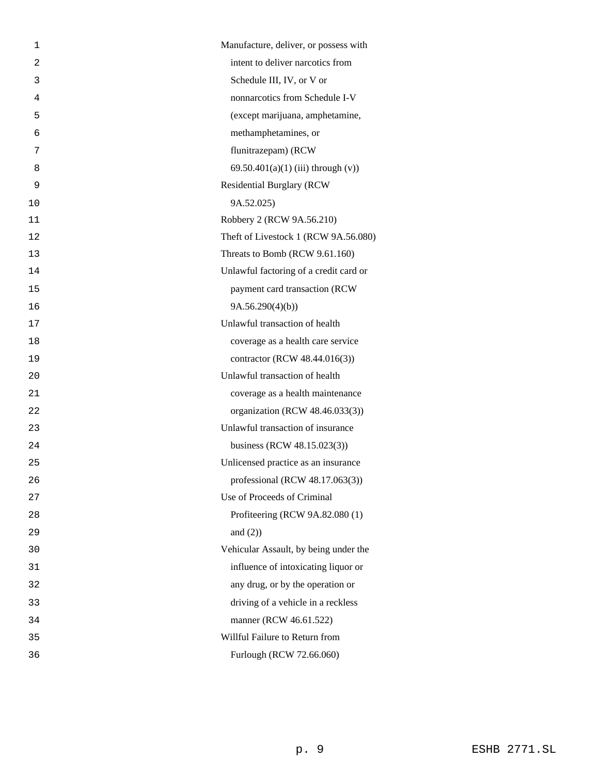| 1  | Manufacture, deliver, or possess with  |
|----|----------------------------------------|
| 2  | intent to deliver narcotics from       |
| 3  | Schedule III, IV, or V or              |
| 4  | nonnarcotics from Schedule I-V         |
| 5  | (except marijuana, amphetamine,        |
| 6  | methamphetamines, or                   |
| 7  | flunitrazepam) (RCW                    |
| 8  | 69.50.401(a)(1) (iii) through $(v)$ )  |
| 9  | <b>Residential Burglary (RCW</b>       |
| 10 | 9A.52.025)                             |
| 11 | Robbery 2 (RCW 9A.56.210)              |
| 12 | Theft of Livestock 1 (RCW 9A.56.080)   |
| 13 | Threats to Bomb (RCW 9.61.160)         |
| 14 | Unlawful factoring of a credit card or |
| 15 | payment card transaction (RCW          |
| 16 | 9A.56.290(4)(b)                        |
| 17 | Unlawful transaction of health         |
| 18 | coverage as a health care service      |
| 19 | contractor (RCW 48.44.016(3))          |
| 20 | Unlawful transaction of health         |
| 21 | coverage as a health maintenance       |
| 22 | organization (RCW 48.46.033(3))        |
| 23 | Unlawful transaction of insurance      |
| 24 | business (RCW 48.15.023(3))            |
| 25 | Unlicensed practice as an insurance    |
| 26 | professional (RCW 48.17.063(3))        |
| 27 | Use of Proceeds of Criminal            |
| 28 | Profiteering (RCW 9A.82.080 (1)        |
| 29 | and $(2)$ )                            |
| 30 | Vehicular Assault, by being under the  |
| 31 | influence of intoxicating liquor or    |
| 32 | any drug, or by the operation or       |
| 33 | driving of a vehicle in a reckless     |
| 34 | manner (RCW 46.61.522)                 |
| 35 | Willful Failure to Return from         |
| 36 | Furlough (RCW 72.66.060)               |
|    |                                        |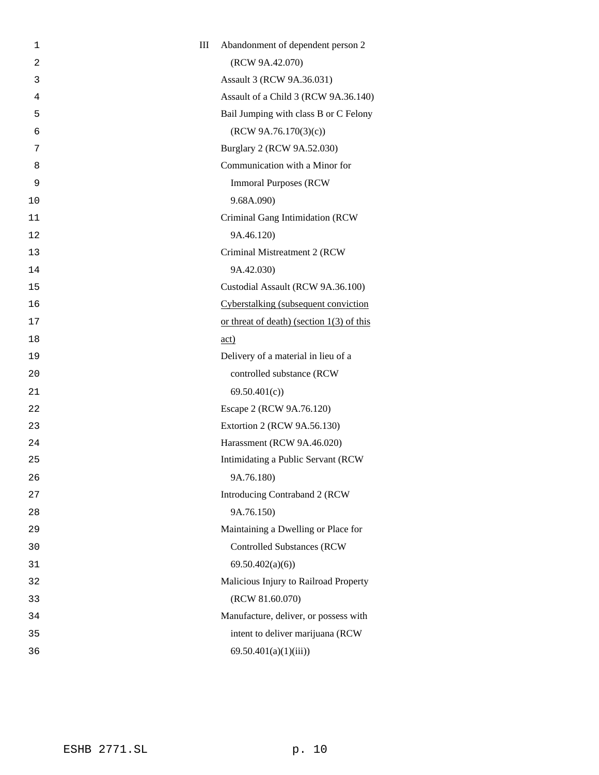| 1              | III | Abandonment of dependent person 2           |
|----------------|-----|---------------------------------------------|
| $\overline{2}$ |     | (RCW 9A.42.070)                             |
| 3              |     | Assault 3 (RCW 9A.36.031)                   |
| 4              |     | Assault of a Child 3 (RCW 9A.36.140)        |
| 5              |     | Bail Jumping with class B or C Felony       |
| 6              |     | (RCW 9A.76.170(3)(c))                       |
| 7              |     | Burglary 2 (RCW 9A.52.030)                  |
| 8              |     | Communication with a Minor for              |
| 9              |     | <b>Immoral Purposes (RCW)</b>               |
| 10             |     | 9.68A.090)                                  |
| 11             |     | Criminal Gang Intimidation (RCW             |
| 12             |     | 9A.46.120)                                  |
| 13             |     | Criminal Mistreatment 2 (RCW                |
| 14             |     | 9A.42.030)                                  |
| 15             |     | Custodial Assault (RCW 9A.36.100)           |
| 16             |     | Cyberstalking (subsequent conviction        |
| 17             |     | or threat of death) (section $1(3)$ of this |
| 18             |     | act)                                        |
| 19             |     | Delivery of a material in lieu of a         |
| 20             |     | controlled substance (RCW                   |
| 21             |     | 69.50.401(c)                                |
| 22             |     | Escape 2 (RCW 9A.76.120)                    |
| 23             |     | Extortion 2 (RCW 9A.56.130)                 |
| 24             |     | Harassment (RCW 9A.46.020)                  |
| 25             |     | Intimidating a Public Servant (RCW          |
| 26             |     | 9A.76.180)                                  |
| 27             |     | Introducing Contraband 2 (RCW               |
| 28             |     | 9A.76.150)                                  |
| 29             |     | Maintaining a Dwelling or Place for         |
| 30             |     | <b>Controlled Substances (RCW)</b>          |
| 31             |     | 69.50.402(a)(6)                             |
| 32             |     | Malicious Injury to Railroad Property       |
| 33             |     | (RCW 81.60.070)                             |
| 34             |     | Manufacture, deliver, or possess with       |
| 35             |     | intent to deliver marijuana (RCW            |
| 36             |     | 69.50.401(a)(1)(iii)                        |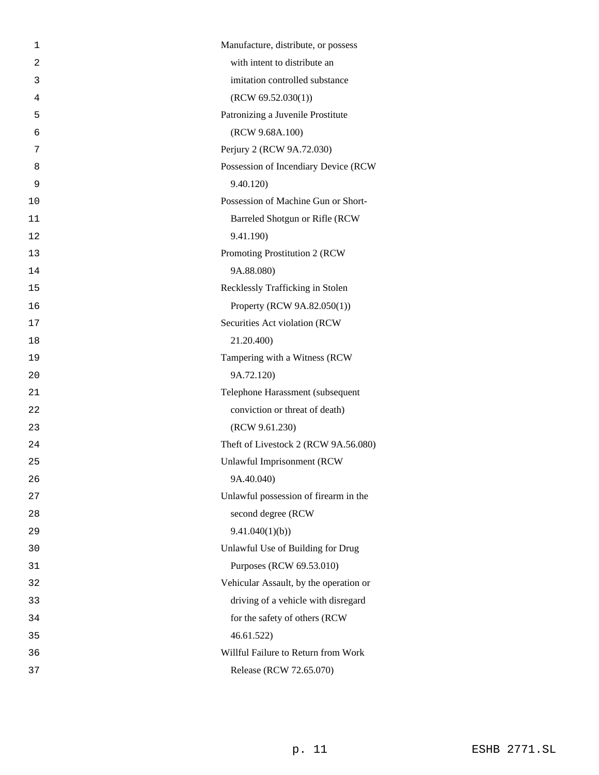| 1              | Manufacture, distribute, or possess    |
|----------------|----------------------------------------|
| $\overline{2}$ | with intent to distribute an           |
| 3              | imitation controlled substance         |
| 4              | (RCW 69.52.030(1))                     |
| 5              | Patronizing a Juvenile Prostitute      |
| 6              | (RCW 9.68A.100)                        |
| 7              | Perjury 2 (RCW 9A.72.030)              |
| 8              | Possession of Incendiary Device (RCW   |
| 9              | 9.40.120                               |
| 10             | Possession of Machine Gun or Short-    |
| 11             | Barreled Shotgun or Rifle (RCW         |
| 12             | 9.41.190)                              |
| 13             | Promoting Prostitution 2 (RCW          |
| 14             | 9A.88.080)                             |
| 15             | Recklessly Trafficking in Stolen       |
| 16             | Property (RCW 9A.82.050(1))            |
| 17             | Securities Act violation (RCW)         |
| 18             | 21.20.400)                             |
| 19             | Tampering with a Witness (RCW          |
| 20             | 9A.72.120)                             |
| 21             | Telephone Harassment (subsequent       |
| 22             | conviction or threat of death)         |
| 23             | (RCW 9.61.230)                         |
| 24             | Theft of Livestock 2 (RCW 9A.56.080)   |
| 25             | Unlawful Imprisonment (RCW             |
| 26             | 9A.40.040)                             |
| 27             | Unlawful possession of firearm in the  |
| 28             | second degree (RCW                     |
| 29             | 9.41.040(1)(b)                         |
| 30             | Unlawful Use of Building for Drug      |
| 31             | Purposes (RCW 69.53.010)               |
| 32             | Vehicular Assault, by the operation or |
| 33             | driving of a vehicle with disregard    |
| 34             | for the safety of others (RCW          |
| 35             | 46.61.522                              |
| 36             | Willful Failure to Return from Work    |
| 37             | Release (RCW 72.65.070)                |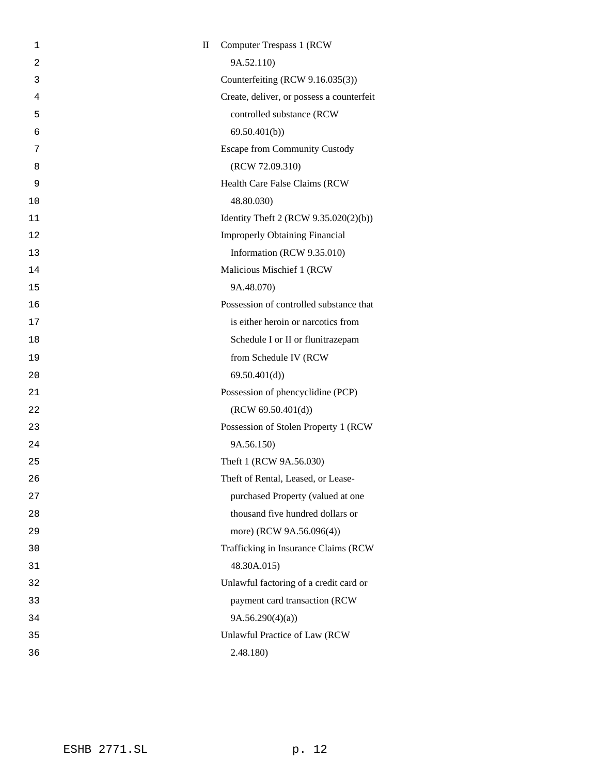| 1              | $\mathbf{I}$ | <b>Computer Trespass 1 (RCW)</b>          |
|----------------|--------------|-------------------------------------------|
| $\overline{2}$ |              | 9A.52.110)                                |
| 3              |              | Counterfeiting (RCW 9.16.035(3))          |
| 4              |              | Create, deliver, or possess a counterfeit |
| 5              |              | controlled substance (RCW                 |
| 6              |              | 69.50.401(b)                              |
| 7              |              | <b>Escape from Community Custody</b>      |
| 8              |              | (RCW 72.09.310)                           |
| 9              |              | Health Care False Claims (RCW             |
| 10             |              | 48.80.030)                                |
| 11             |              | Identity Theft 2 (RCW 9.35.020(2)(b))     |
| 12             |              | <b>Improperly Obtaining Financial</b>     |
| 13             |              | Information (RCW 9.35.010)                |
| 14             |              | Malicious Mischief 1 (RCW                 |
| 15             |              | 9A.48.070)                                |
| 16             |              | Possession of controlled substance that   |
| 17             |              | is either heroin or narcotics from        |
| 18             |              | Schedule I or II or flunitrazepam         |
| 19             |              | from Schedule IV (RCW                     |
| 20             |              | 69.50.401(d)                              |
| 21             |              | Possession of phencyclidine (PCP)         |
| 22             |              | (RCW 69.50.401(d))                        |
| 23             |              | Possession of Stolen Property 1 (RCW      |
| 24             |              | 9A.56.150)                                |
| 25             |              | Theft 1 (RCW 9A.56.030)                   |
| 26             |              | Theft of Rental, Leased, or Lease-        |
| 27             |              | purchased Property (valued at one         |
| 28             |              | thousand five hundred dollars or          |
| 29             |              | more) (RCW 9A.56.096(4))                  |
| 30             |              | Trafficking in Insurance Claims (RCW      |
| 31             |              | 48.30A.015)                               |
| 32             |              | Unlawful factoring of a credit card or    |
| 33             |              | payment card transaction (RCW             |
| 34             |              | 9A.56.290(4)(a)                           |
| 35             |              | Unlawful Practice of Law (RCW             |
| 36             |              | 2.48.180)                                 |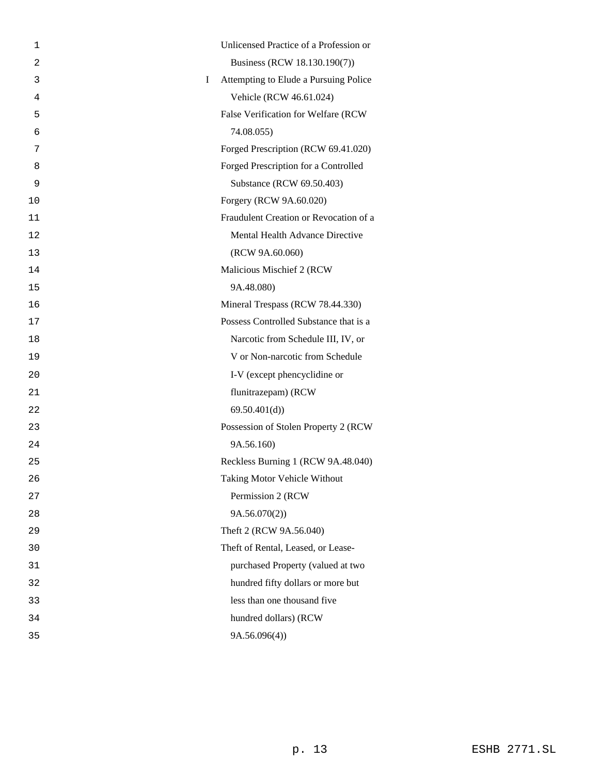| 1  |   | Unlicensed Practice of a Profession or |
|----|---|----------------------------------------|
| 2  |   | Business (RCW 18.130.190(7))           |
| 3  | Ι | Attempting to Elude a Pursuing Police  |
| 4  |   | Vehicle (RCW 46.61.024)                |
| 5  |   | False Verification for Welfare (RCW    |
| 6  |   | 74.08.055)                             |
| 7  |   | Forged Prescription (RCW 69.41.020)    |
| 8  |   | Forged Prescription for a Controlled   |
| 9  |   | Substance (RCW 69.50.403)              |
| 10 |   | Forgery (RCW 9A.60.020)                |
| 11 |   | Fraudulent Creation or Revocation of a |
| 12 |   | Mental Health Advance Directive        |
| 13 |   | (RCW 9A.60.060)                        |
| 14 |   | Malicious Mischief 2 (RCW              |
| 15 |   | 9A.48.080)                             |
| 16 |   | Mineral Trespass (RCW 78.44.330)       |
| 17 |   | Possess Controlled Substance that is a |
| 18 |   | Narcotic from Schedule III, IV, or     |
| 19 |   | V or Non-narcotic from Schedule        |
| 20 |   | I-V (except phencyclidine or           |
| 21 |   | flunitrazepam) (RCW                    |
| 22 |   | 69.50.401(d)                           |
| 23 |   | Possession of Stolen Property 2 (RCW   |
| 24 |   | 9A.56.160)                             |
| 25 |   | Reckless Burning 1 (RCW 9A.48.040)     |
| 26 |   | <b>Taking Motor Vehicle Without</b>    |
| 27 |   | Permission 2 (RCW                      |
| 28 |   | 9A.56.070(2)                           |
| 29 |   | Theft 2 (RCW 9A.56.040)                |
| 30 |   | Theft of Rental, Leased, or Lease-     |
| 31 |   | purchased Property (valued at two      |
| 32 |   | hundred fifty dollars or more but      |
| 33 |   | less than one thousand five            |
| 34 |   | hundred dollars) (RCW                  |
| 35 |   | 9A.56.096(4)                           |
|    |   |                                        |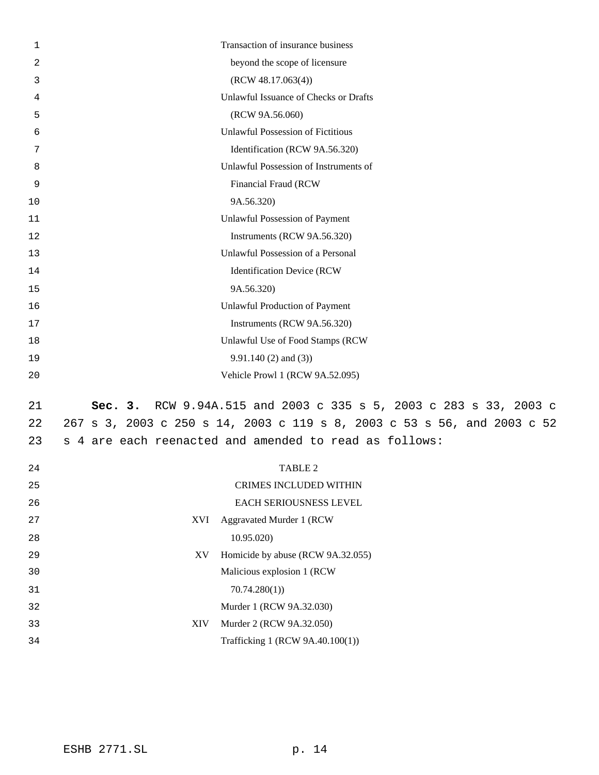| 1        | Transaction of insurance business                                       |  |
|----------|-------------------------------------------------------------------------|--|
| 2        | beyond the scope of licensure                                           |  |
| 3        | (RCW 48.17.063(4))                                                      |  |
| 4        | Unlawful Issuance of Checks or Drafts                                   |  |
| 5        | (RCW 9A.56.060)                                                         |  |
| 6        | <b>Unlawful Possession of Fictitious</b>                                |  |
| 7        | Identification (RCW 9A.56.320)                                          |  |
| 8        | Unlawful Possession of Instruments of                                   |  |
| 9        | Financial Fraud (RCW                                                    |  |
| 10       | 9A.56.320)                                                              |  |
| 11       | Unlawful Possession of Payment                                          |  |
| 12       | Instruments (RCW 9A.56.320)                                             |  |
| 13       | Unlawful Possession of a Personal                                       |  |
| 14       | <b>Identification Device (RCW</b>                                       |  |
| 15       | 9A.56.320)                                                              |  |
| 16       | <b>Unlawful Production of Payment</b>                                   |  |
| 17       | Instruments (RCW 9A.56.320)                                             |  |
| 18       | Unlawful Use of Food Stamps (RCW                                        |  |
| 19       | $9.91.140(2)$ and (3))                                                  |  |
| 20       | Vehicle Prowl 1 (RCW 9A.52.095)                                         |  |
| 21       | RCW 9.94A.515 and 2003 c 335 s 5, 2003 c 283 s 33, 2003 c<br>Sec. 3.    |  |
| 22       | 267 s 3, 2003 c 250 s 14, 2003 c 119 s 8, 2003 c 53 s 56, and 2003 c 52 |  |
| 23       | 4 are each reenacted and amended to read as follows:<br>S               |  |
|          |                                                                         |  |
| 24       | <b>TABLE 2</b>                                                          |  |
| 25       | CRIMES INCLUDED WITHIN                                                  |  |
| 26       | EACH SERIOUSNESS LEVEL                                                  |  |
| 27       | <b>Aggravated Murder 1 (RCW</b><br>XVI                                  |  |
| 28       | 10.95.020)                                                              |  |
| 29<br>30 | Homicide by abuse (RCW 9A.32.055)<br>XV<br>Malicious explosion 1 (RCW   |  |
|          |                                                                         |  |
| 31       | 70.74.280(1)<br>Murder 1 (RCW 9A.32.030)                                |  |
| 32<br>33 | Murder 2 (RCW 9A.32.050)<br><b>XIV</b>                                  |  |
| 34       | Trafficking 1 (RCW 9A.40.100(1))                                        |  |
|          |                                                                         |  |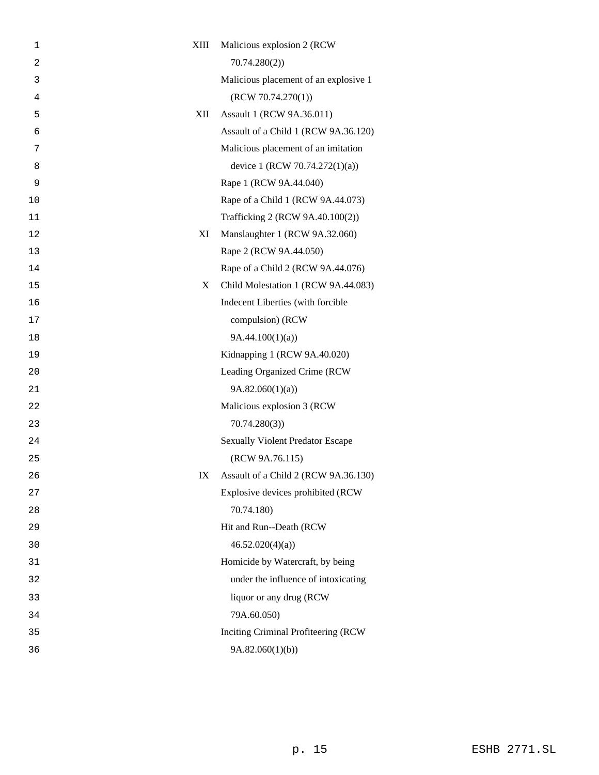| 1  | XIII | Malicious explosion 2 (RCW)             |
|----|------|-----------------------------------------|
| 2  |      | 70.74.280(2)                            |
| 3  |      | Malicious placement of an explosive 1   |
| 4  |      | (RCW 70.74.270(1))                      |
| 5  | XII  | Assault 1 (RCW 9A.36.011)               |
| 6  |      | Assault of a Child 1 (RCW 9A.36.120)    |
| 7  |      | Malicious placement of an imitation     |
| 8  |      | device 1 (RCW 70.74.272(1)(a))          |
| 9  |      | Rape 1 (RCW 9A.44.040)                  |
| 10 |      | Rape of a Child 1 (RCW 9A.44.073)       |
| 11 |      | Trafficking 2 (RCW 9A.40.100(2))        |
| 12 | XI   | Manslaughter 1 (RCW 9A.32.060)          |
| 13 |      | Rape 2 (RCW 9A.44.050)                  |
| 14 |      | Rape of a Child 2 (RCW 9A.44.076)       |
| 15 | X    | Child Molestation 1 (RCW 9A.44.083)     |
| 16 |      | Indecent Liberties (with forcible       |
| 17 |      | compulsion) (RCW                        |
| 18 |      | 9A.44.100(1)(a)                         |
| 19 |      | Kidnapping 1 (RCW 9A.40.020)            |
| 20 |      | Leading Organized Crime (RCW            |
| 21 |      | 9A.82.060(1)(a)                         |
| 22 |      | Malicious explosion 3 (RCW              |
| 23 |      | 70.74.280(3)                            |
| 24 |      | <b>Sexually Violent Predator Escape</b> |
| 25 |      | (RCW 9A.76.115)                         |
| 26 | IX   | Assault of a Child 2 (RCW 9A.36.130)    |
| 27 |      | Explosive devices prohibited (RCW       |
| 28 |      | 70.74.180)                              |
| 29 |      | Hit and Run--Death (RCW                 |
| 30 |      | 46.52.020(4)(a)                         |
| 31 |      | Homicide by Watercraft, by being        |
| 32 |      | under the influence of intoxicating     |
| 33 |      | liquor or any drug (RCW                 |
| 34 |      | 79A.60.050)                             |
| 35 |      | Inciting Criminal Profiteering (RCW     |
| 36 |      | 9A.82.060(1)(b)                         |
|    |      |                                         |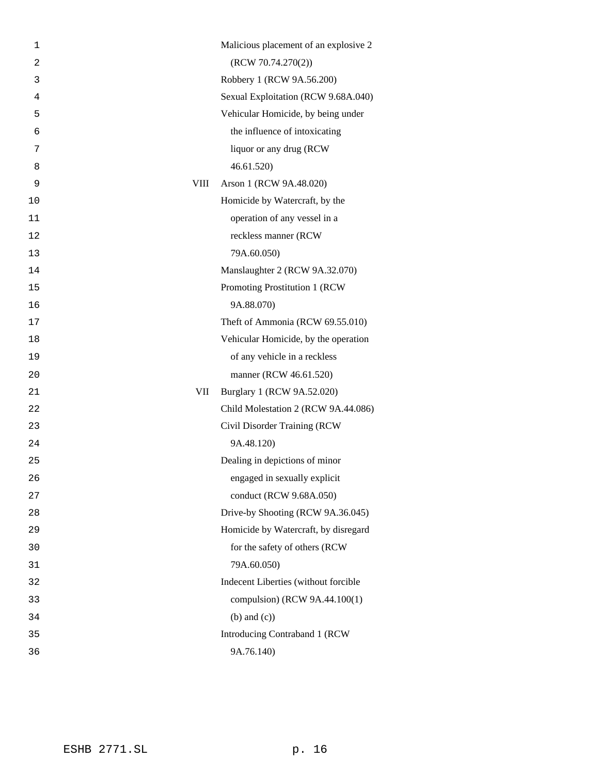| 1  |             | Malicious placement of an explosive 2 |
|----|-------------|---------------------------------------|
| 2  |             | (RCW 70.74.270(2))                    |
| 3  |             | Robbery 1 (RCW 9A.56.200)             |
| 4  |             | Sexual Exploitation (RCW 9.68A.040)   |
| 5  |             | Vehicular Homicide, by being under    |
| 6  |             | the influence of intoxicating         |
| 7  |             | liquor or any drug (RCW               |
| 8  |             | 46.61.520)                            |
| 9  | <b>VIII</b> | Arson 1 (RCW 9A.48.020)               |
| 10 |             | Homicide by Watercraft, by the        |
| 11 |             | operation of any vessel in a          |
| 12 |             | reckless manner (RCW                  |
| 13 |             | 79A.60.050)                           |
| 14 |             | Manslaughter 2 (RCW 9A.32.070)        |
| 15 |             | Promoting Prostitution 1 (RCW         |
| 16 |             | 9A.88.070)                            |
| 17 |             | Theft of Ammonia (RCW 69.55.010)      |
| 18 |             | Vehicular Homicide, by the operation  |
| 19 |             | of any vehicle in a reckless          |
| 20 |             | manner (RCW 46.61.520)                |
| 21 | VII         | Burglary 1 (RCW 9A.52.020)            |
| 22 |             | Child Molestation 2 (RCW 9A.44.086)   |
| 23 |             | Civil Disorder Training (RCW          |
| 24 |             | 9A.48.120)                            |
| 25 |             | Dealing in depictions of minor        |
| 26 |             | engaged in sexually explicit          |
| 27 |             | conduct (RCW 9.68A.050)               |
| 28 |             | Drive-by Shooting (RCW 9A.36.045)     |
| 29 |             | Homicide by Watercraft, by disregard  |
| 30 |             | for the safety of others (RCW         |
| 31 |             | 79A.60.050)                           |
| 32 |             | Indecent Liberties (without forcible  |
| 33 |             | compulsion) (RCW 9A.44.100(1)         |
| 34 |             | $(b)$ and $(c)$ )                     |
| 35 |             | Introducing Contraband 1 (RCW         |
| 36 |             | 9A.76.140)                            |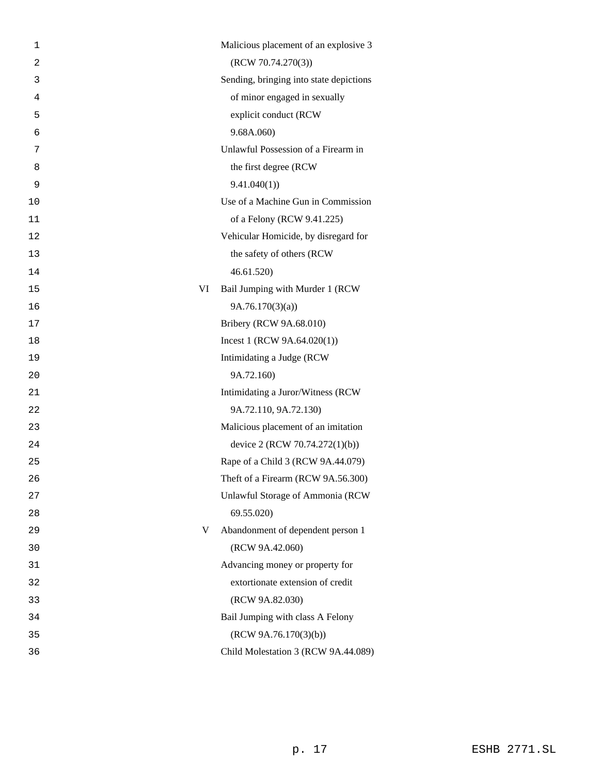| 1              | Malicious placement of an explosive 3   |
|----------------|-----------------------------------------|
| $\overline{2}$ | (RCW 70.74.270(3))                      |
| 3              | Sending, bringing into state depictions |
| 4              | of minor engaged in sexually            |
| 5              | explicit conduct (RCW                   |
| 6              | 9.68A.060)                              |
| 7              | Unlawful Possession of a Firearm in     |
| 8              | the first degree (RCW)                  |
| 9              | 9.41.040(1)                             |
| 10             | Use of a Machine Gun in Commission      |
| 11             | of a Felony (RCW 9.41.225)              |
| 12             | Vehicular Homicide, by disregard for    |
| 13             | the safety of others (RCW               |
| 14             | 46.61.520)                              |
| 15             | Bail Jumping with Murder 1 (RCW<br>VI   |
| 16             | 9A.76.170(3)(a)                         |
| 17             | Bribery (RCW 9A.68.010)                 |
| 18             | Incest 1 (RCW $9A.64.020(1)$ )          |
| 19             | Intimidating a Judge (RCW               |
| 20             | 9A.72.160)                              |
| 21             | Intimidating a Juror/Witness (RCW       |
| 22             | 9A.72.110, 9A.72.130)                   |
| 23             | Malicious placement of an imitation     |
| 24             | device 2 (RCW 70.74.272(1)(b))          |
| 25             | Rape of a Child 3 (RCW 9A.44.079)       |
| 26             | Theft of a Firearm (RCW 9A.56.300)      |
| 27             | Unlawful Storage of Ammonia (RCW        |
| 28             | 69.55.020)                              |
| 29             | Abandonment of dependent person 1<br>V  |
| 30             | (RCW 9A.42.060)                         |
| 31             | Advancing money or property for         |
| 32             | extortionate extension of credit        |
| 33             | (RCW 9A.82.030)                         |
| 34             | Bail Jumping with class A Felony        |
| 35             | (RCW 9A.76.170(3)(b))                   |
| 36             | Child Molestation 3 (RCW 9A.44.089)     |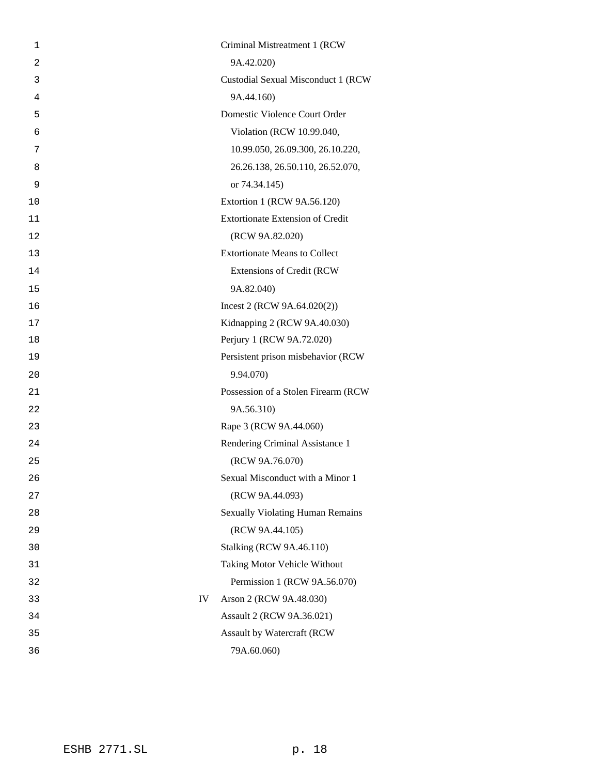| 1              | Criminal Mistreatment 1 (RCW            |
|----------------|-----------------------------------------|
| $\overline{2}$ | 9A.42.020)                              |
| 3              | Custodial Sexual Misconduct 1 (RCW      |
| 4              | 9A.44.160)                              |
| 5              | Domestic Violence Court Order           |
| 6              | Violation (RCW 10.99.040,               |
| 7              | 10.99.050, 26.09.300, 26.10.220,        |
| 8              | 26.26.138, 26.50.110, 26.52.070,        |
| 9              | or 74.34.145)                           |
| 10             | Extortion 1 (RCW 9A.56.120)             |
| 11             | <b>Extortionate Extension of Credit</b> |
| 12             | (RCW 9A.82.020)                         |
| 13             | <b>Extortionate Means to Collect</b>    |
| 14             | <b>Extensions of Credit (RCW</b>        |
| 15             | 9A.82.040)                              |
| 16             | Incest 2 (RCW $9A.64.020(2)$ )          |
| 17             | Kidnapping 2 (RCW 9A.40.030)            |
| 18             | Perjury 1 (RCW 9A.72.020)               |
| 19             | Persistent prison misbehavior (RCW      |
| 20             | 9.94.070)                               |
| 21             | Possession of a Stolen Firearm (RCW     |
| 22             | 9A.56.310)                              |
| 23             | Rape 3 (RCW 9A.44.060)                  |
| 24             | Rendering Criminal Assistance 1         |
| 25             | (RCW 9A.76.070)                         |
| 26             | Sexual Misconduct with a Minor 1        |
| 27             | (RCW 9A.44.093)                         |
| 28             | <b>Sexually Violating Human Remains</b> |
| 29             | (RCW 9A.44.105)                         |
| 30             | <b>Stalking (RCW 9A.46.110)</b>         |
| 31             | Taking Motor Vehicle Without            |
| 32             | Permission 1 (RCW 9A.56.070)            |
| 33             | IV<br>Arson 2 (RCW 9A.48.030)           |
| 34             | Assault 2 (RCW 9A.36.021)               |
| 35             | Assault by Watercraft (RCW              |
| 36             | 79A.60.060)                             |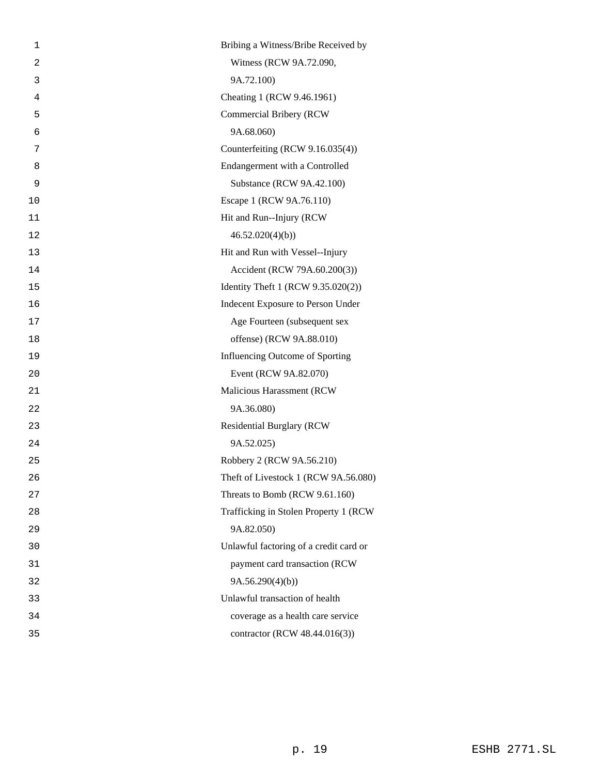| 1  | Bribing a Witness/Bribe Received by    |
|----|----------------------------------------|
| 2  | Witness (RCW 9A.72.090,                |
| 3  | 9A.72.100)                             |
| 4  | Cheating 1 (RCW 9.46.1961)             |
| 5  | Commercial Bribery (RCW                |
| 6  | 9A.68.060)                             |
| 7  | Counterfeiting (RCW 9.16.035(4))       |
| 8  | Endangerment with a Controlled         |
| 9  | Substance (RCW 9A.42.100)              |
| 10 | Escape 1 (RCW 9A.76.110)               |
| 11 | Hit and Run--Injury (RCW               |
| 12 | 46.52.020(4)(b)                        |
| 13 | Hit and Run with Vessel--Injury        |
| 14 | Accident (RCW 79A.60.200(3))           |
| 15 | Identity Theft 1 (RCW 9.35.020(2))     |
| 16 | Indecent Exposure to Person Under      |
| 17 | Age Fourteen (subsequent sex           |
| 18 | offense) (RCW 9A.88.010)               |
| 19 | Influencing Outcome of Sporting        |
| 20 | Event (RCW 9A.82.070)                  |
| 21 | Malicious Harassment (RCW              |
| 22 | 9A.36.080)                             |
| 23 | <b>Residential Burglary (RCW</b>       |
| 24 | 9A.52.025)                             |
| 25 | Robbery 2 (RCW 9A.56.210)              |
| 26 | Theft of Livestock 1 (RCW 9A.56.080)   |
| 27 | Threats to Bomb (RCW 9.61.160)         |
| 28 | Trafficking in Stolen Property 1 (RCW) |
| 29 | 9A.82.050)                             |
| 30 | Unlawful factoring of a credit card or |
| 31 | payment card transaction (RCW          |
| 32 | 9A.56.290(4)(b)                        |
| 33 | Unlawful transaction of health         |
| 34 | coverage as a health care service      |
| 35 | contractor (RCW 48.44.016(3))          |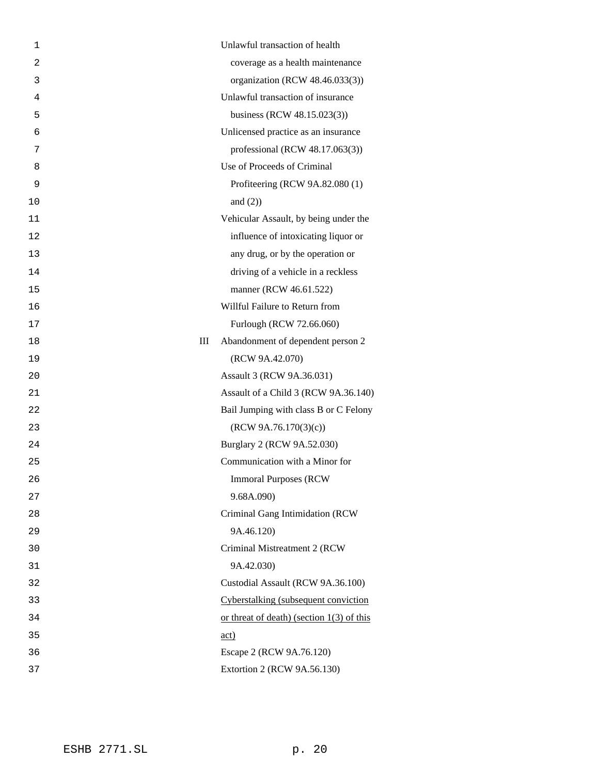| 1  | Unlawful transaction of health              |
|----|---------------------------------------------|
| 2  | coverage as a health maintenance            |
| 3  | organization (RCW 48.46.033(3))             |
| 4  | Unlawful transaction of insurance           |
| 5  | business (RCW 48.15.023(3))                 |
| 6  | Unlicensed practice as an insurance         |
| 7  | professional (RCW 48.17.063(3))             |
| 8  | Use of Proceeds of Criminal                 |
| 9  | Profiteering (RCW 9A.82.080 (1)             |
| 10 | and $(2)$ )                                 |
| 11 | Vehicular Assault, by being under the       |
| 12 | influence of intoxicating liquor or         |
| 13 | any drug, or by the operation or            |
| 14 | driving of a vehicle in a reckless          |
| 15 | manner (RCW 46.61.522)                      |
| 16 | Willful Failure to Return from              |
| 17 | Furlough (RCW 72.66.060)                    |
| 18 | III<br>Abandonment of dependent person 2    |
| 19 | (RCW 9A.42.070)                             |
| 20 | Assault 3 (RCW 9A.36.031)                   |
| 21 | Assault of a Child 3 (RCW 9A.36.140)        |
| 22 | Bail Jumping with class B or C Felony       |
| 23 | (RCW 9A.76.170(3)(c))                       |
| 24 | Burglary 2 (RCW 9A.52.030)                  |
| 25 | Communication with a Minor for              |
| 26 | <b>Immoral Purposes (RCW)</b>               |
| 27 | 9.68A.090)                                  |
| 28 | Criminal Gang Intimidation (RCW             |
| 29 | 9A.46.120)                                  |
| 30 | Criminal Mistreatment 2 (RCW                |
| 31 | 9A.42.030)                                  |
| 32 | Custodial Assault (RCW 9A.36.100)           |
| 33 | Cyberstalking (subsequent conviction        |
| 34 | or threat of death) (section $1(3)$ of this |
| 35 | $\underline{\text{act}}$                    |
| 36 | Escape 2 (RCW 9A.76.120)                    |
| 37 | Extortion 2 (RCW 9A.56.130)                 |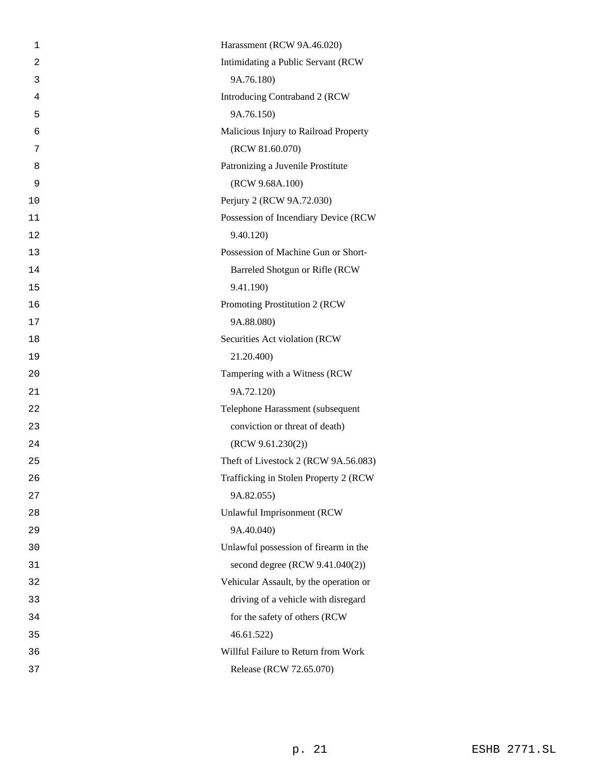| 1              | Harassment (RCW 9A.46.020)             |
|----------------|----------------------------------------|
| $\overline{a}$ | Intimidating a Public Servant (RCW     |
| 3              | 9A.76.180)                             |
| 4              | Introducing Contraband 2 (RCW          |
| 5              | 9A.76.150)                             |
| 6              | Malicious Injury to Railroad Property  |
| 7              | (RCW 81.60.070)                        |
| 8              | Patronizing a Juvenile Prostitute      |
| 9              | (RCW 9.68A.100)                        |
| 10             | Perjury 2 (RCW 9A.72.030)              |
| 11             | Possession of Incendiary Device (RCW   |
| 12             | 9.40.120)                              |
| 13             | Possession of Machine Gun or Short-    |
| 14             | Barreled Shotgun or Rifle (RCW         |
| 15             | 9.41.190)                              |
| 16             | Promoting Prostitution 2 (RCW          |
| 17             | 9A.88.080)                             |
| 18             | Securities Act violation (RCW          |
| 19             | 21.20.400)                             |
| 20             | Tampering with a Witness (RCW          |
| 21             | 9A.72.120)                             |
| 22             | Telephone Harassment (subsequent       |
| 23             | conviction or threat of death)         |
| 24             | (RCW 9.61.230(2))                      |
| 25             | Theft of Livestock 2 (RCW 9A.56.083)   |
| 26             | Trafficking in Stolen Property 2 (RCW  |
| 27             | 9A.82.055)                             |
| 28             | <b>Unlawful Imprisonment (RCW</b>      |
| 29             | 9A.40.040)                             |
| 30             | Unlawful possession of firearm in the  |
| 31             | second degree (RCW 9.41.040(2))        |
| 32             | Vehicular Assault, by the operation or |
| 33             | driving of a vehicle with disregard    |
| 34             | for the safety of others (RCW          |
| 35             | 46.61.522                              |
| 36             | Willful Failure to Return from Work    |
| 37             | Release (RCW 72.65.070)                |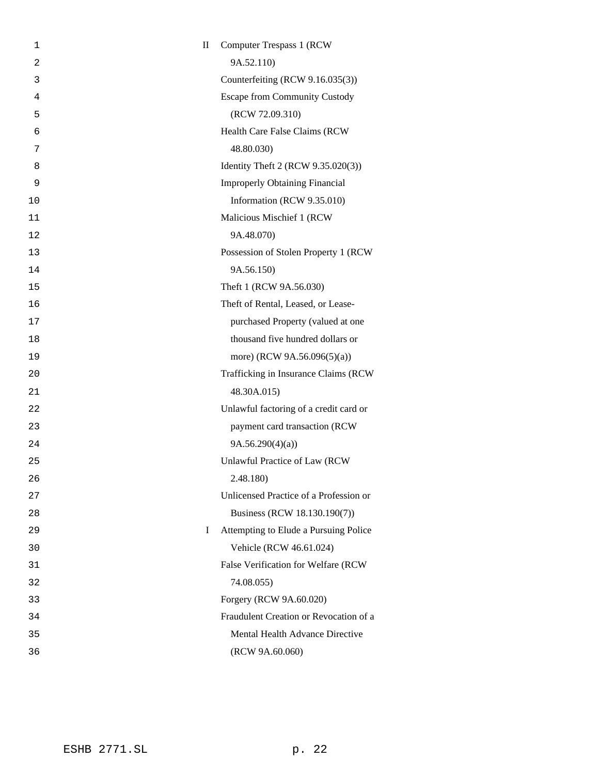| 1  | $\mathbf{I}$ | <b>Computer Trespass 1 (RCW)</b>       |
|----|--------------|----------------------------------------|
| 2  |              | 9A.52.110)                             |
| 3  |              | Counterfeiting (RCW 9.16.035(3))       |
| 4  |              | <b>Escape from Community Custody</b>   |
| 5  |              | (RCW 72.09.310)                        |
| 6  |              | Health Care False Claims (RCW          |
| 7  |              | 48.80.030)                             |
| 8  |              | Identity Theft 2 (RCW 9.35.020(3))     |
| 9  |              | <b>Improperly Obtaining Financial</b>  |
| 10 |              | Information (RCW 9.35.010)             |
| 11 |              | Malicious Mischief 1 (RCW              |
| 12 |              | 9A.48.070)                             |
| 13 |              | Possession of Stolen Property 1 (RCW   |
| 14 |              | 9A.56.150)                             |
| 15 |              | Theft 1 (RCW 9A.56.030)                |
| 16 |              | Theft of Rental, Leased, or Lease-     |
| 17 |              | purchased Property (valued at one      |
| 18 |              | thousand five hundred dollars or       |
| 19 |              | more) (RCW 9A.56.096(5)(a))            |
| 20 |              | Trafficking in Insurance Claims (RCW   |
| 21 |              | 48.30A.015)                            |
| 22 |              | Unlawful factoring of a credit card or |
| 23 |              | payment card transaction (RCW          |
| 24 |              | 9A.56.290(4)(a)                        |
| 25 |              | <b>Unlawful Practice of Law (RCW)</b>  |
| 26 |              | 2.48.180)                              |
| 27 |              | Unlicensed Practice of a Profession or |
| 28 |              | Business (RCW 18.130.190(7))           |
| 29 | L            | Attempting to Elude a Pursuing Police  |
| 30 |              | Vehicle (RCW 46.61.024)                |
| 31 |              | False Verification for Welfare (RCW    |
| 32 |              | 74.08.055)                             |
| 33 |              | Forgery (RCW 9A.60.020)                |
| 34 |              | Fraudulent Creation or Revocation of a |
| 35 |              | Mental Health Advance Directive        |
| 36 |              | (RCW 9A.60.060)                        |
|    |              |                                        |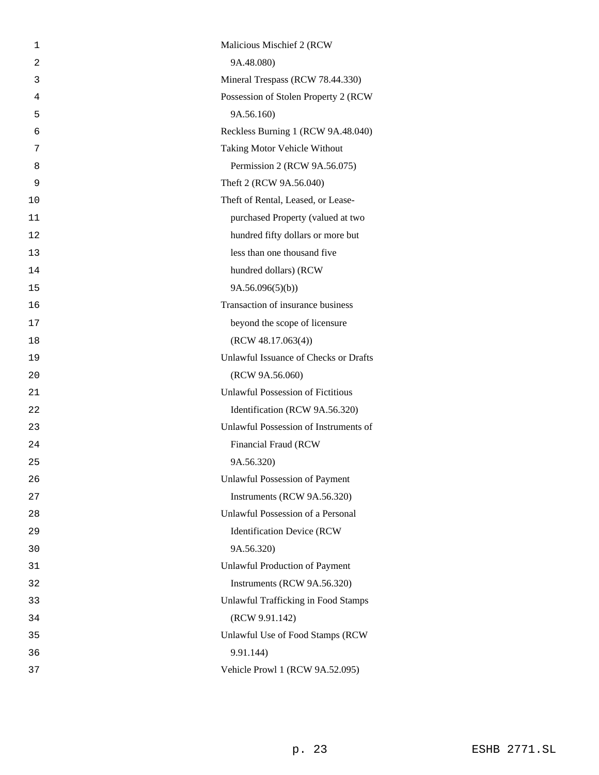| 1  | Malicious Mischief 2 (RCW)                 |
|----|--------------------------------------------|
| 2  | 9A.48.080)                                 |
| 3  | Mineral Trespass (RCW 78.44.330)           |
| 4  | Possession of Stolen Property 2 (RCW       |
| 5  | 9A.56.160)                                 |
| 6  | Reckless Burning 1 (RCW 9A.48.040)         |
| 7  | Taking Motor Vehicle Without               |
| 8  | Permission 2 (RCW 9A.56.075)               |
| 9  | Theft 2 (RCW 9A.56.040)                    |
| 10 | Theft of Rental, Leased, or Lease-         |
| 11 | purchased Property (valued at two          |
| 12 | hundred fifty dollars or more but          |
| 13 | less than one thousand five                |
| 14 | hundred dollars) (RCW                      |
| 15 | 9A.56.096(5)(b)                            |
| 16 | Transaction of insurance business          |
| 17 | beyond the scope of licensure              |
| 18 | (RCW 48.17.063(4))                         |
| 19 | Unlawful Issuance of Checks or Drafts      |
| 20 | (RCW 9A.56.060)                            |
| 21 | <b>Unlawful Possession of Fictitious</b>   |
| 22 | Identification (RCW 9A.56.320)             |
| 23 | Unlawful Possession of Instruments of      |
| 24 | Financial Fraud (RCW                       |
| 25 | 9A.56.320)                                 |
| 26 | <b>Unlawful Possession of Payment</b>      |
| 27 | Instruments (RCW 9A.56.320)                |
| 28 | Unlawful Possession of a Personal          |
| 29 | <b>Identification Device (RCW</b>          |
| 30 | 9A.56.320)                                 |
| 31 | Unlawful Production of Payment             |
| 32 | Instruments (RCW 9A.56.320)                |
| 33 | <b>Unlawful Trafficking in Food Stamps</b> |
| 34 | (RCW 9.91.142)                             |
| 35 | Unlawful Use of Food Stamps (RCW           |
| 36 | 9.91.144)                                  |
| 37 | Vehicle Prowl 1 (RCW 9A.52.095)            |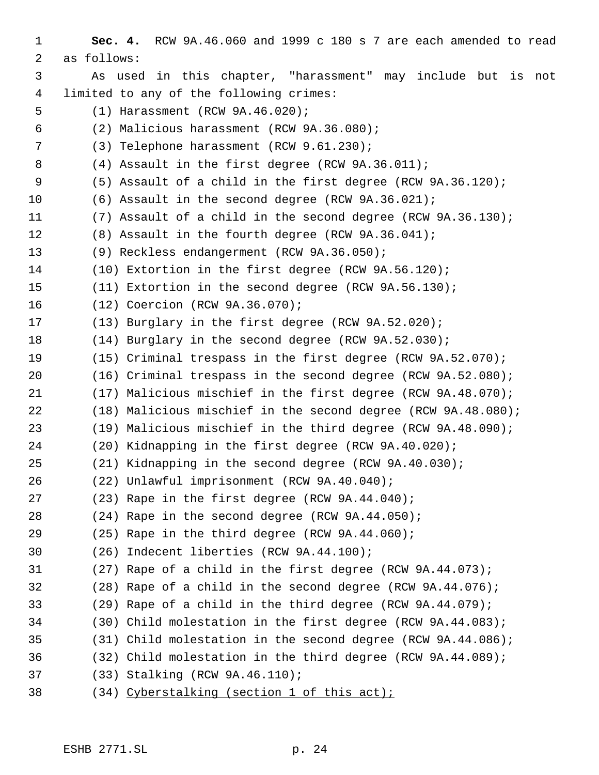**Sec. 4.** RCW 9A.46.060 and 1999 c 180 s 7 are each amended to read as follows: As used in this chapter, "harassment" may include but is not limited to any of the following crimes: (1) Harassment (RCW 9A.46.020); (2) Malicious harassment (RCW 9A.36.080); (3) Telephone harassment (RCW 9.61.230); (4) Assault in the first degree (RCW 9A.36.011); (5) Assault of a child in the first degree (RCW 9A.36.120); (6) Assault in the second degree (RCW 9A.36.021); (7) Assault of a child in the second degree (RCW 9A.36.130); (8) Assault in the fourth degree (RCW 9A.36.041); (9) Reckless endangerment (RCW 9A.36.050); (10) Extortion in the first degree (RCW 9A.56.120); (11) Extortion in the second degree (RCW 9A.56.130); (12) Coercion (RCW 9A.36.070); (13) Burglary in the first degree (RCW 9A.52.020); (14) Burglary in the second degree (RCW 9A.52.030); (15) Criminal trespass in the first degree (RCW 9A.52.070); (16) Criminal trespass in the second degree (RCW 9A.52.080); (17) Malicious mischief in the first degree (RCW 9A.48.070); (18) Malicious mischief in the second degree (RCW 9A.48.080); (19) Malicious mischief in the third degree (RCW 9A.48.090); (20) Kidnapping in the first degree (RCW 9A.40.020); (21) Kidnapping in the second degree (RCW 9A.40.030); (22) Unlawful imprisonment (RCW 9A.40.040); (23) Rape in the first degree (RCW 9A.44.040); (24) Rape in the second degree (RCW 9A.44.050); (25) Rape in the third degree (RCW 9A.44.060); (26) Indecent liberties (RCW 9A.44.100); (27) Rape of a child in the first degree (RCW 9A.44.073); (28) Rape of a child in the second degree (RCW 9A.44.076); (29) Rape of a child in the third degree (RCW 9A.44.079); (30) Child molestation in the first degree (RCW 9A.44.083); (31) Child molestation in the second degree (RCW 9A.44.086); (32) Child molestation in the third degree (RCW 9A.44.089); (33) Stalking (RCW 9A.46.110); (34) Cyberstalking (section 1 of this act);